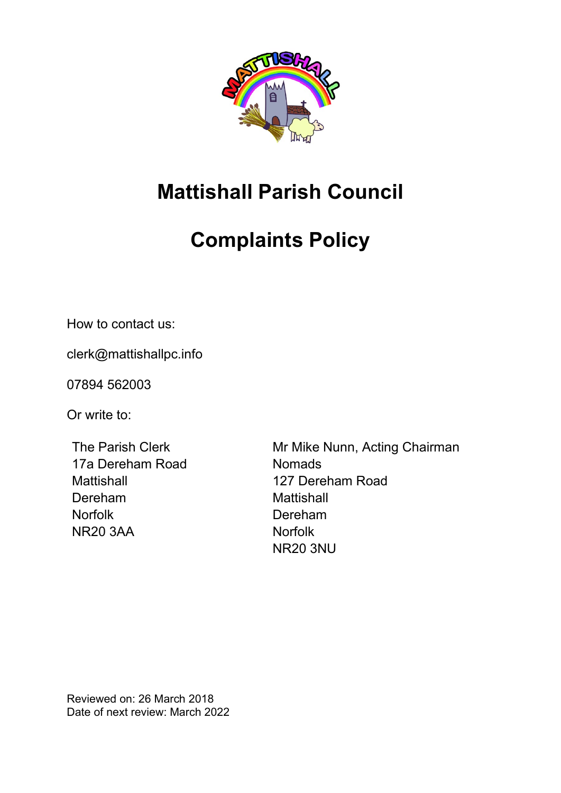

# **Mattishall Parish Council**

# **Complaints Policy**

How to contact us:

clerk@mattishallpc.info

07894 562003

Or write to:

The Parish Clerk 17a Dereham Road **Mattishall** Dereham **Norfolk** NR20 3AA

Mr Mike Nunn, Acting Chairman **Nomads** 127 Dereham Road **Mattishall** Dereham Norfolk NR20 3NU

Reviewed on: 26 March 2018 Date of next review: March 2022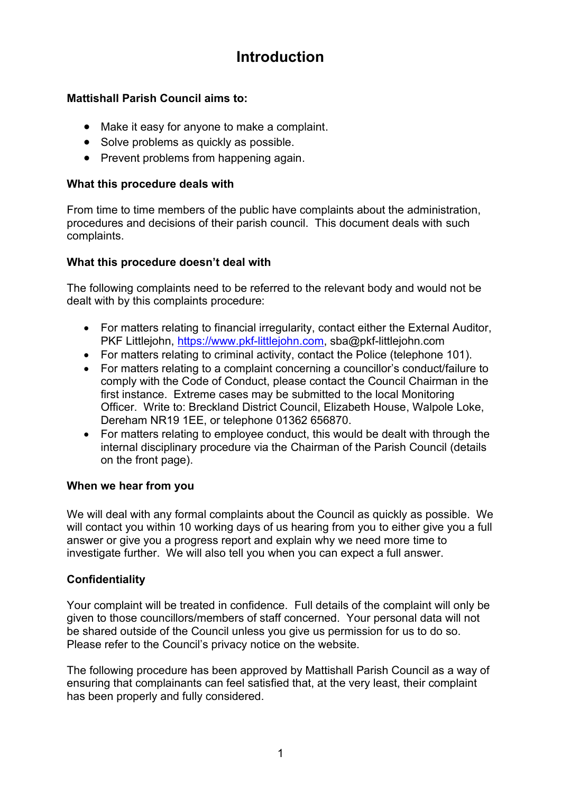## **Introduction**

### **Mattishall Parish Council aims to:**

- Make it easy for anyone to make a complaint.
- Solve problems as quickly as possible.
- Prevent problems from happening again.

### **What this procedure deals with**

From time to time members of the public have complaints about the administration, procedures and decisions of their parish council. This document deals with such complaints.

### **What this procedure doesn't deal with**

The following complaints need to be referred to the relevant body and would not be dealt with by this complaints procedure:

- For matters relating to financial irregularity, contact either the External Auditor, PKF Littlejohn, [https://www.pkf-littlejohn.com,](https://www.pkf-littlejohn.com/) sba@pkf-littlejohn.com
- For matters relating to criminal activity, contact the Police (telephone 101).
- For matters relating to a complaint concerning a councillor's conduct/failure to comply with the Code of Conduct, please contact the Council Chairman in the first instance. Extreme cases may be submitted to the local Monitoring Officer. Write to: Breckland District Council, Elizabeth House, Walpole Loke, Dereham NR19 1EE, or telephone 01362 656870.
- For matters relating to employee conduct, this would be dealt with through the internal disciplinary procedure via the Chairman of the Parish Council (details on the front page).

### **When we hear from you**

We will deal with any formal complaints about the Council as quickly as possible. We will contact you within 10 working days of us hearing from you to either give you a full answer or give you a progress report and explain why we need more time to investigate further. We will also tell you when you can expect a full answer.

### **Confidentiality**

Your complaint will be treated in confidence. Full details of the complaint will only be given to those councillors/members of staff concerned. Your personal data will not be shared outside of the Council unless you give us permission for us to do so. Please refer to the Council's privacy notice on the website.

The following procedure has been approved by Mattishall Parish Council as a way of ensuring that complainants can feel satisfied that, at the very least, their complaint has been properly and fully considered.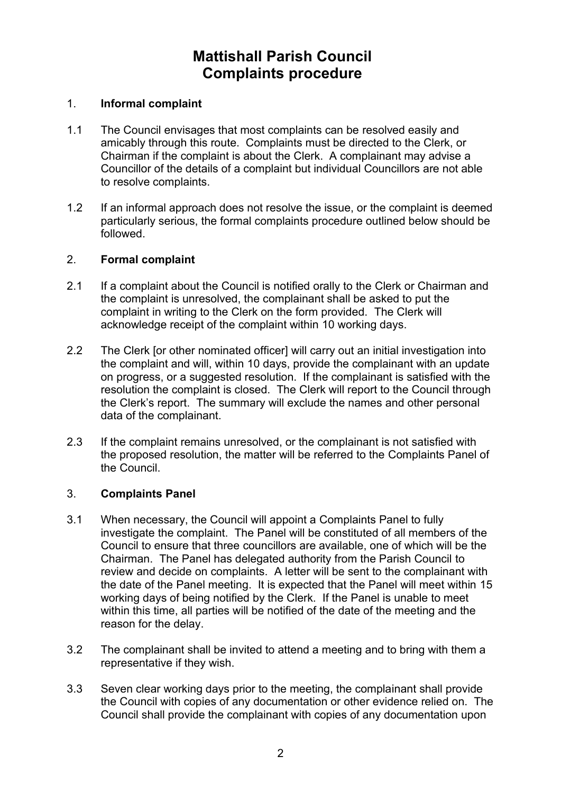### **Mattishall Parish Council Complaints procedure**

#### 1. **Informal complaint**

- 1.1 The Council envisages that most complaints can be resolved easily and amicably through this route. Complaints must be directed to the Clerk, or Chairman if the complaint is about the Clerk. A complainant may advise a Councillor of the details of a complaint but individual Councillors are not able to resolve complaints.
- 1.2 If an informal approach does not resolve the issue, or the complaint is deemed particularly serious, the formal complaints procedure outlined below should be followed.

#### 2. **Formal complaint**

- 2.1 If a complaint about the Council is notified orally to the Clerk or Chairman and the complaint is unresolved, the complainant shall be asked to put the complaint in writing to the Clerk on the form provided. The Clerk will acknowledge receipt of the complaint within 10 working days.
- 2.2 The Clerk [or other nominated officer] will carry out an initial investigation into the complaint and will, within 10 days, provide the complainant with an update on progress, or a suggested resolution. If the complainant is satisfied with the resolution the complaint is closed. The Clerk will report to the Council through the Clerk's report. The summary will exclude the names and other personal data of the complainant.
- 2.3 If the complaint remains unresolved, or the complainant is not satisfied with the proposed resolution, the matter will be referred to the Complaints Panel of the Council.

### 3. **Complaints Panel**

- 3.1 When necessary, the Council will appoint a Complaints Panel to fully investigate the complaint. The Panel will be constituted of all members of the Council to ensure that three councillors are available, one of which will be the Chairman. The Panel has delegated authority from the Parish Council to review and decide on complaints. A letter will be sent to the complainant with the date of the Panel meeting. It is expected that the Panel will meet within 15 working days of being notified by the Clerk. If the Panel is unable to meet within this time, all parties will be notified of the date of the meeting and the reason for the delay.
- 3.2 The complainant shall be invited to attend a meeting and to bring with them a representative if they wish.
- 3.3 Seven clear working days prior to the meeting, the complainant shall provide the Council with copies of any documentation or other evidence relied on. The Council shall provide the complainant with copies of any documentation upon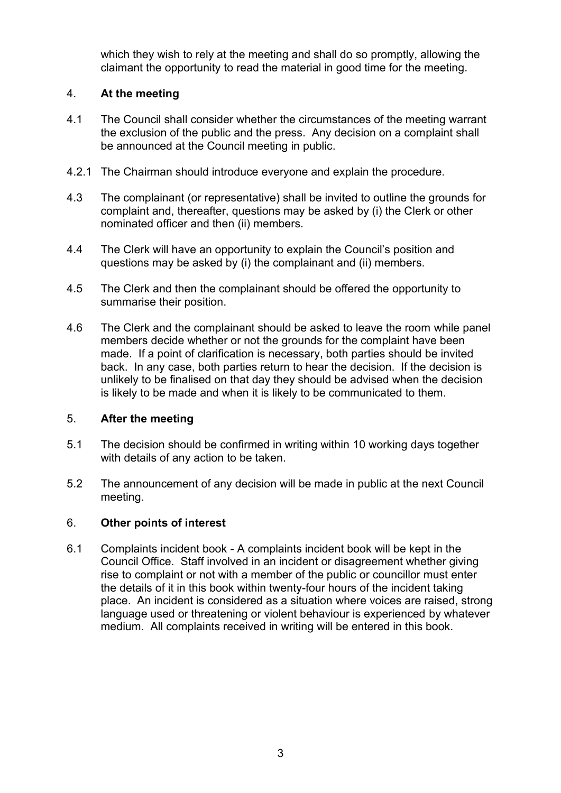which they wish to rely at the meeting and shall do so promptly, allowing the claimant the opportunity to read the material in good time for the meeting.

### 4. **At the meeting**

- 4.1 The Council shall consider whether the circumstances of the meeting warrant the exclusion of the public and the press. Any decision on a complaint shall be announced at the Council meeting in public.
- 4.2.1 The Chairman should introduce everyone and explain the procedure.
- 4.3 The complainant (or representative) shall be invited to outline the grounds for complaint and, thereafter, questions may be asked by (i) the Clerk or other nominated officer and then (ii) members.
- 4.4 The Clerk will have an opportunity to explain the Council's position and questions may be asked by (i) the complainant and (ii) members.
- 4.5 The Clerk and then the complainant should be offered the opportunity to summarise their position.
- 4.6 The Clerk and the complainant should be asked to leave the room while panel members decide whether or not the grounds for the complaint have been made. If a point of clarification is necessary, both parties should be invited back. In any case, both parties return to hear the decision. If the decision is unlikely to be finalised on that day they should be advised when the decision is likely to be made and when it is likely to be communicated to them.

### 5. **After the meeting**

- 5.1 The decision should be confirmed in writing within 10 working days together with details of any action to be taken.
- 5.2 The announcement of any decision will be made in public at the next Council meeting.

### 6. **Other points of interest**

6.1 Complaints incident book - A complaints incident book will be kept in the Council Office. Staff involved in an incident or disagreement whether giving rise to complaint or not with a member of the public or councillor must enter the details of it in this book within twenty-four hours of the incident taking place. An incident is considered as a situation where voices are raised, strong language used or threatening or violent behaviour is experienced by whatever medium. All complaints received in writing will be entered in this book.